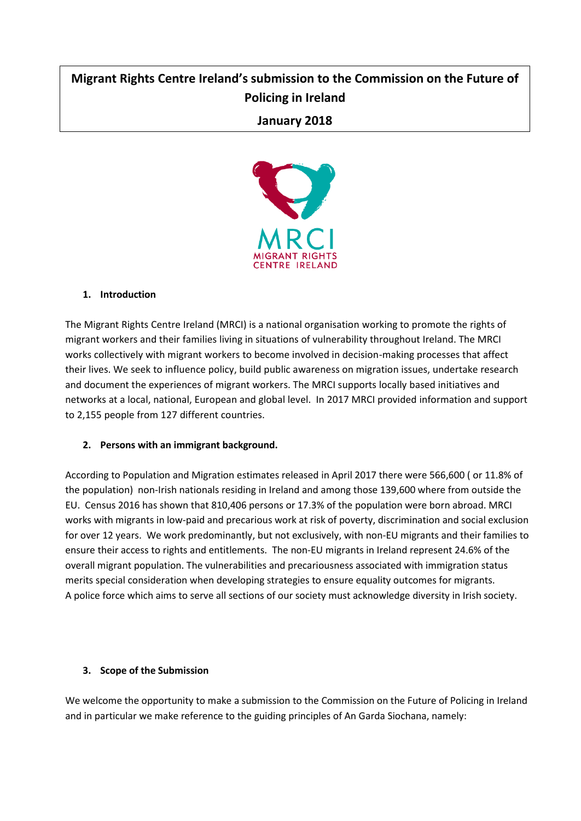# **Migrant Rights Centre Ireland's submission to the Commission on the Future of Policing in Ireland**

## **January 2018**



### **1. Introduction**

The Migrant Rights Centre Ireland (MRCI) is a national organisation working to promote the rights of migrant workers and their families living in situations of vulnerability throughout Ireland. The MRCI works collectively with migrant workers to become involved in decision-making processes that affect their lives. We seek to influence policy, build public awareness on migration issues, undertake research and document the experiences of migrant workers. The MRCI supports locally based initiatives and networks at a local, national, European and global level. In 2017 MRCI provided information and support to 2,155 people from 127 different countries.

#### **2. Persons with an immigrant background.**

According to Population and Migration estimates released in April 2017 there were 566,600 ( or 11.8% of the population) non-Irish nationals residing in Ireland and among those 139,600 where from outside the EU. Census 2016 has shown that 810,406 persons or 17.3% of the population were born abroad. MRCI works with migrants in low-paid and precarious work at risk of poverty, discrimination and social exclusion for over 12 years. We work predominantly, but not exclusively, with non-EU migrants and their families to ensure their access to rights and entitlements. The non-EU migrants in Ireland represent 24.6% of the overall migrant population. The vulnerabilities and precariousness associated with immigration status merits special consideration when developing strategies to ensure equality outcomes for migrants. A police force which aims to serve all sections of our society must acknowledge diversity in Irish society.

#### **3. Scope of the Submission**

We welcome the opportunity to make a submission to the Commission on the Future of Policing in Ireland and in particular we make reference to the guiding principles of An Garda Siochana, namely: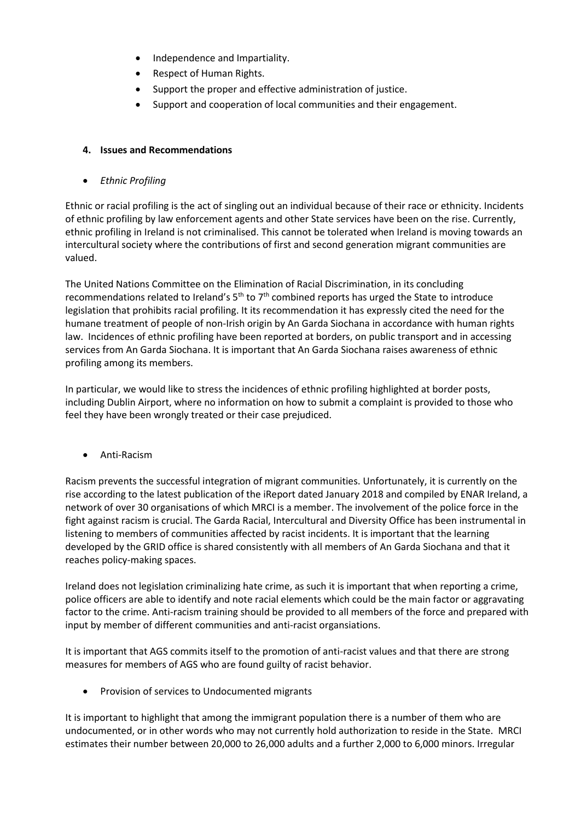- Independence and Impartiality.
- Respect of Human Rights.
- Support the proper and effective administration of justice.
- Support and cooperation of local communities and their engagement.

#### **4. Issues and Recommendations**

• *Ethnic Profiling*

Ethnic or racial profiling is the act of singling out an individual because of their race or ethnicity. Incidents of ethnic profiling by law enforcement agents and other State services have been on the rise. Currently, ethnic profiling in Ireland is not criminalised. This cannot be tolerated when Ireland is moving towards an intercultural society where the contributions of first and second generation migrant communities are valued.

The United Nations Committee on the Elimination of Racial Discrimination, in its concluding recommendations related to Ireland's  $5<sup>th</sup>$  to  $7<sup>th</sup>$  combined reports has urged the State to introduce legislation that prohibits racial profiling. It its recommendation it has expressly cited the need for the humane treatment of people of non-Irish origin by An Garda Siochana in accordance with human rights law. Incidences of ethnic profiling have been reported at borders, on public transport and in accessing services from An Garda Siochana. It is important that An Garda Siochana raises awareness of ethnic profiling among its members.

In particular, we would like to stress the incidences of ethnic profiling highlighted at border posts, including Dublin Airport, where no information on how to submit a complaint is provided to those who feel they have been wrongly treated or their case prejudiced.

• Anti-Racism

Racism prevents the successful integration of migrant communities. Unfortunately, it is currently on the rise according to the latest publication of the iReport dated January 2018 and compiled by ENAR Ireland, a network of over 30 organisations of which MRCI is a member. The involvement of the police force in the fight against racism is crucial. The Garda Racial, Intercultural and Diversity Office has been instrumental in listening to members of communities affected by racist incidents. It is important that the learning developed by the GRID office is shared consistently with all members of An Garda Siochana and that it reaches policy-making spaces.

Ireland does not legislation criminalizing hate crime, as such it is important that when reporting a crime, police officers are able to identify and note racial elements which could be the main factor or aggravating factor to the crime. Anti-racism training should be provided to all members of the force and prepared with input by member of different communities and anti-racist organsiations.

It is important that AGS commits itself to the promotion of anti-racist values and that there are strong measures for members of AGS who are found guilty of racist behavior.

• Provision of services to Undocumented migrants

It is important to highlight that among the immigrant population there is a number of them who are undocumented, or in other words who may not currently hold authorization to reside in the State. MRCI estimates their number between 20,000 to 26,000 adults and a further 2,000 to 6,000 minors. Irregular